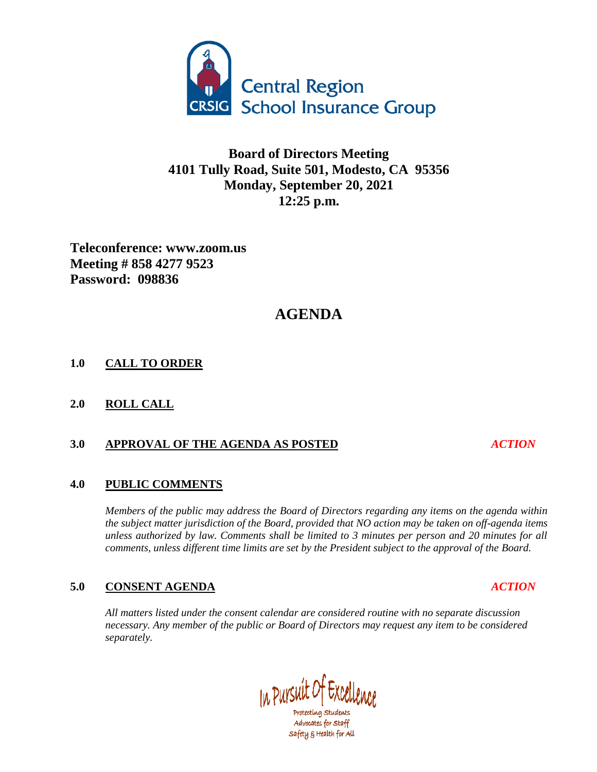

## **Board of Directors Meeting 4101 Tully Road, Suite 501, Modesto, CA 95356 Monday, September 20, 2021 12:25 p.m.**

**Teleconference: www.zoom.us Meeting # 858 4277 9523 Password: 098836**

# **AGENDA**

### **1.0 CALL TO ORDER**

**2.0 ROLL CALL**

### **3.0 APPROVAL OF THE AGENDA AS POSTED** *ACTION*

#### **4.0 PUBLIC COMMENTS**

*Members of the public may address the Board of Directors regarding any items on the agenda within the subject matter jurisdiction of the Board, provided that NO action may be taken on off-agenda items unless authorized by law. Comments shall be limited to 3 minutes per person and 20 minutes for all comments, unless different time limits are set by the President subject to the approval of the Board.*

### **5.0 CONSENT AGENDA** *ACTION*

*All matters listed under the consent calendar are considered routine with no separate discussion necessary. Any member of the public or Board of Directors may request any item to be considered separately.*

In Pursuit of Excel Protecting Students

Advocates for Staff safety & Health for All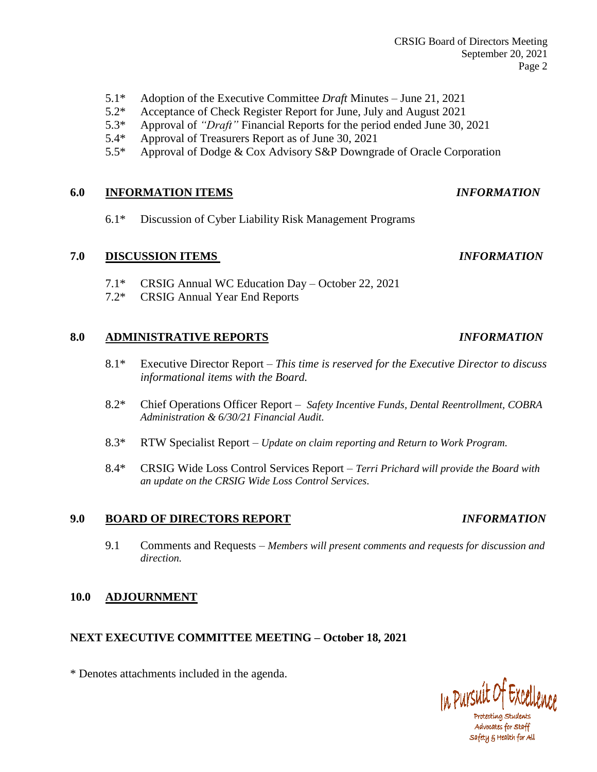- 5.1\* Adoption of the Executive Committee *Draft* Minutes June 21, 2021
- 5.2\* Acceptance of Check Register Report for June, July and August 2021
- 5.3\* Approval of *"Draft"* Financial Reports for the period ended June 30, 2021
- 5.4\* Approval of Treasurers Report as of June 30, 2021
- 5.5\* Approval of Dodge & Cox Advisory S&P Downgrade of Oracle Corporation

#### **6.0 INFORMATION ITEMS** *INFORMATION*

6.1\* Discussion of Cyber Liability Risk Management Programs

#### **7.0 DISCUSSION ITEMS** *INFORMATION*

- 7.1\* CRSIG Annual WC Education Day October 22, 2021
- 7.2\* CRSIG Annual Year End Reports

#### **8.0 ADMINISTRATIVE REPORTS** *INFORMATION*

- 8.1\* Executive Director Report *This time is reserved for the Executive Director to discuss informational items with the Board.*
- 8.2\* Chief Operations Officer Report *Safety Incentive Funds, Dental Reentrollment, COBRA Administration & 6/30/21 Financial Audit.*
- 8.3\* RTW Specialist Report *Update on claim reporting and Return to Work Program.*
- 8.4\* CRSIG Wide Loss Control Services Report *Terri Prichard will provide the Board with an update on the CRSIG Wide Loss Control Services.*

#### **9.0 BOARD OF DIRECTORS REPORT** *INFORMATION*

9.1 Comments and Requests – *Members will present comments and requests for discussion and direction.*

#### **10.0 ADJOURNMENT**

#### **NEXT EXECUTIVE COMMITTEE MEETING – October 18, 2021**

\* Denotes attachments included in the agenda.